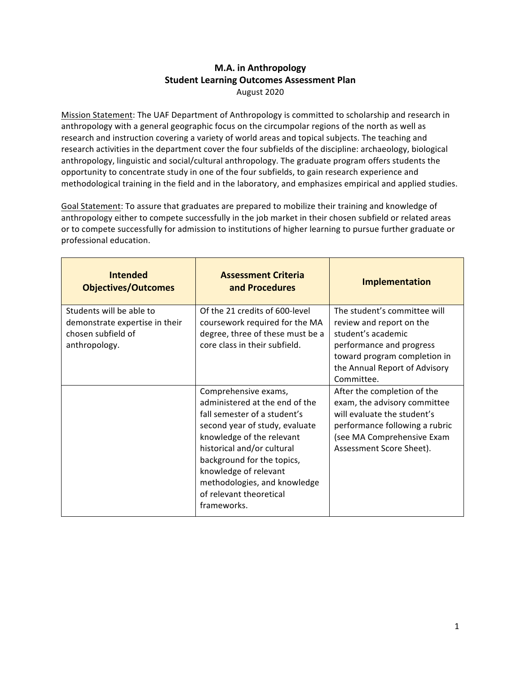## **M.A. in Anthropology Student Learning Outcomes Assessment Plan** August 2020

Mission Statement: The UAF Department of Anthropology is committed to scholarship and research in anthropology with a general geographic focus on the circumpolar regions of the north as well as research and instruction covering a variety of world areas and topical subjects. The teaching and research activities in the department cover the four subfields of the discipline: archaeology, biological anthropology, linguistic and social/cultural anthropology. The graduate program offers students the opportunity to concentrate study in one of the four subfields, to gain research experience and methodological training in the field and in the laboratory, and emphasizes empirical and applied studies.

Goal Statement: To assure that graduates are prepared to mobilize their training and knowledge of anthropology either to compete successfully in the job market in their chosen subfield or related areas or to compete successfully for admission to institutions of higher learning to pursue further graduate or professional education.

| <b>Intended</b><br><b>Objectives/Outcomes</b>                                                     | <b>Assessment Criteria</b><br>and Procedures                                                                                                                                                                                                                                                                         | <b>Implementation</b>                                                                                                                                                                     |
|---------------------------------------------------------------------------------------------------|----------------------------------------------------------------------------------------------------------------------------------------------------------------------------------------------------------------------------------------------------------------------------------------------------------------------|-------------------------------------------------------------------------------------------------------------------------------------------------------------------------------------------|
| Students will be able to<br>demonstrate expertise in their<br>chosen subfield of<br>anthropology. | Of the 21 credits of 600-level<br>coursework required for the MA<br>degree, three of these must be a<br>core class in their subfield.                                                                                                                                                                                | The student's committee will<br>review and report on the<br>student's academic<br>performance and progress<br>toward program completion in<br>the Annual Report of Advisory<br>Committee. |
|                                                                                                   | Comprehensive exams,<br>administered at the end of the<br>fall semester of a student's<br>second year of study, evaluate<br>knowledge of the relevant<br>historical and/or cultural<br>background for the topics,<br>knowledge of relevant<br>methodologies, and knowledge<br>of relevant theoretical<br>frameworks. | After the completion of the<br>exam, the advisory committee<br>will evaluate the student's<br>performance following a rubric<br>(see MA Comprehensive Exam<br>Assessment Score Sheet).    |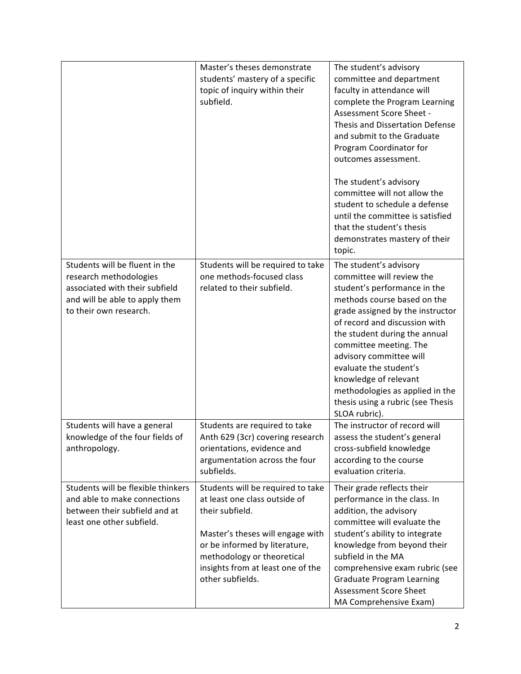|                                                                                                                                                        | Master's theses demonstrate<br>students' mastery of a specific<br>topic of inquiry within their<br>subfield.                                                                                                                                      | The student's advisory<br>committee and department<br>faculty in attendance will<br>complete the Program Learning<br>Assessment Score Sheet -<br>Thesis and Dissertation Defense<br>and submit to the Graduate<br>Program Coordinator for<br>outcomes assessment.<br>The student's advisory<br>committee will not allow the<br>student to schedule a defense<br>until the committee is satisfied<br>that the student's thesis<br>demonstrates mastery of their |
|--------------------------------------------------------------------------------------------------------------------------------------------------------|---------------------------------------------------------------------------------------------------------------------------------------------------------------------------------------------------------------------------------------------------|----------------------------------------------------------------------------------------------------------------------------------------------------------------------------------------------------------------------------------------------------------------------------------------------------------------------------------------------------------------------------------------------------------------------------------------------------------------|
|                                                                                                                                                        |                                                                                                                                                                                                                                                   | topic.                                                                                                                                                                                                                                                                                                                                                                                                                                                         |
| Students will be fluent in the<br>research methodologies<br>associated with their subfield<br>and will be able to apply them<br>to their own research. | Students will be required to take<br>one methods-focused class<br>related to their subfield.                                                                                                                                                      | The student's advisory<br>committee will review the<br>student's performance in the<br>methods course based on the<br>grade assigned by the instructor<br>of record and discussion with<br>the student during the annual<br>committee meeting. The<br>advisory committee will<br>evaluate the student's<br>knowledge of relevant<br>methodologies as applied in the<br>thesis using a rubric (see Thesis<br>SLOA rubric).                                      |
| Students will have a general<br>knowledge of the four fields of<br>anthropology.                                                                       | Students are required to take<br>Anth 629 (3cr) covering research<br>orientations, evidence and<br>argumentation across the four<br>subfields.                                                                                                    | The instructor of record will<br>assess the student's general<br>cross-subfield knowledge<br>according to the course<br>evaluation criteria.                                                                                                                                                                                                                                                                                                                   |
| Students will be flexible thinkers<br>and able to make connections<br>between their subfield and at<br>least one other subfield.                       | Students will be required to take<br>at least one class outside of<br>their subfield.<br>Master's theses will engage with<br>or be informed by literature,<br>methodology or theoretical<br>insights from at least one of the<br>other subfields. | Their grade reflects their<br>performance in the class. In<br>addition, the advisory<br>committee will evaluate the<br>student's ability to integrate<br>knowledge from beyond their<br>subfield in the MA<br>comprehensive exam rubric (see<br><b>Graduate Program Learning</b><br>Assessment Score Sheet<br>MA Comprehensive Exam)                                                                                                                           |